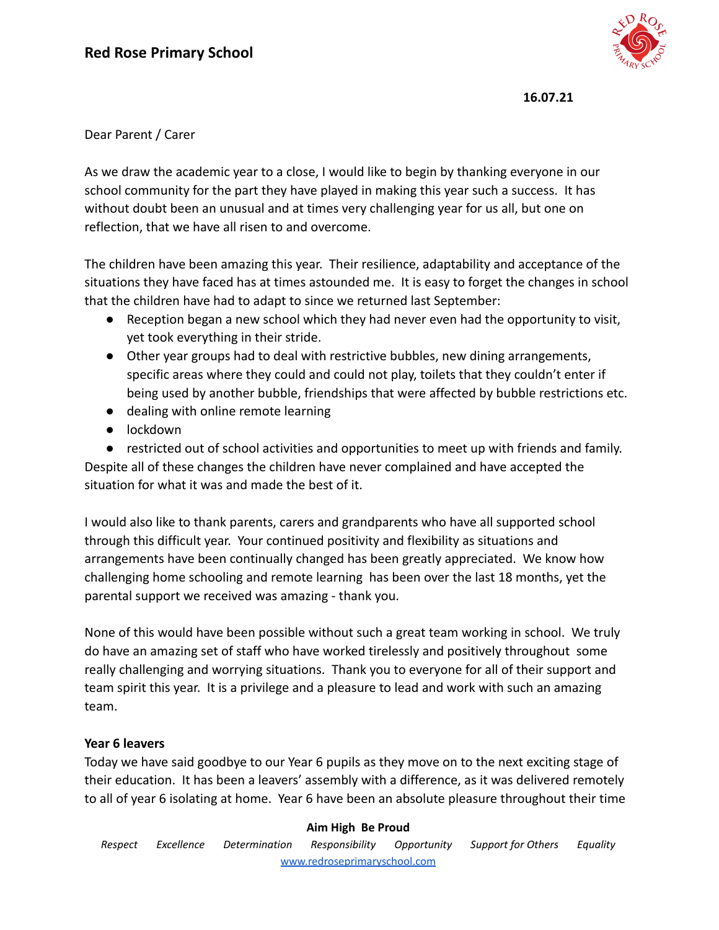

# Dear Parent / Carer

As we draw the academic year to a close, I would like to begin by thanking everyone in our school community for the part they have played in making this year such a success. It has without doubt been an unusual and at times very challenging year for us all, but one on reflection, that we have all risen to and overcome.

The children have been amazing this year. Their resilience, adaptability and acceptance of the situations they have faced has at times astounded me. It is easy to forget the changes in school that the children have had to adapt to since we returned last September:

- Reception began a new school which they had never even had the opportunity to visit, yet took everything in their stride.
- Other year groups had to deal with restrictive bubbles, new dining arrangements, specific areas where they could and could not play, toilets that they couldn't enter if being used by another bubble, friendships that were affected by bubble restrictions etc.
- dealing with online remote learning
- lockdown

● restricted out of school activities and opportunities to meet up with friends and family. Despite all of these changes the children have never complained and have accepted the situation for what it was and made the best of it.

I would also like to thank parents, carers and grandparents who have all supported school through this difficult year. Your continued positivity and flexibility as situations and arrangements have been continually changed has been greatly appreciated. We know how challenging home schooling and remote learning has been over the last 18 months, yet the parental support we received was amazing - thank you.

None of this would have been possible without such a great team working in school. We truly do have an amazing set of staff who have worked tirelessly and positively throughout some really challenging and worrying situations. Thank you to everyone for all of their support and team spirit this year. It is a privilege and a pleasure to lead and work with such an amazing team.

# **Year 6 leavers**

Today we have said goodbye to our Year 6 pupils as they move on to the next exciting stage of their education. It has been a leavers' assembly with a difference, as it was delivered remotely to all of year 6 isolating at home. Year 6 have been an absolute pleasure throughout their time

#### **Aim High Be Proud**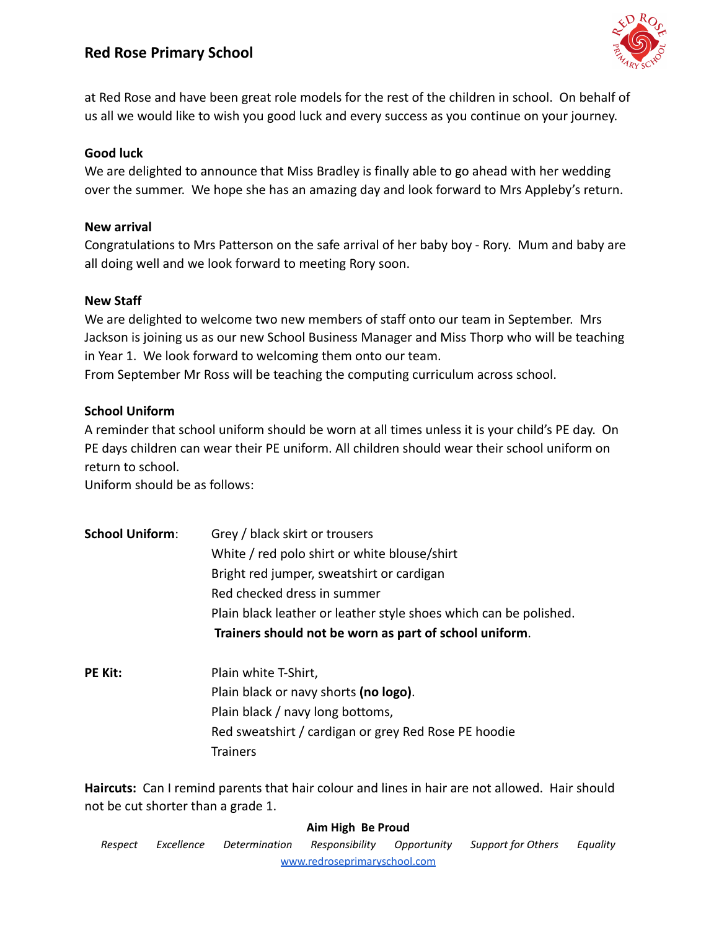# **Red Rose Primary School**



at Red Rose and have been great role models for the rest of the children in school. On behalf of us all we would like to wish you good luck and every success as you continue on your journey.

## **Good luck**

We are delighted to announce that Miss Bradley is finally able to go ahead with her wedding over the summer. We hope she has an amazing day and look forward to Mrs Appleby's return.

#### **New arrival**

Congratulations to Mrs Patterson on the safe arrival of her baby boy - Rory. Mum and baby are all doing well and we look forward to meeting Rory soon.

## **New Staff**

We are delighted to welcome two new members of staff onto our team in September. Mrs Jackson is joining us as our new School Business Manager and Miss Thorp who will be teaching in Year 1. We look forward to welcoming them onto our team. From September Mr Ross will be teaching the computing curriculum across school.

## **School Uniform**

A reminder that school uniform should be worn at all times unless it is your child's PE day. On PE days children can wear their PE uniform. All children should wear their school uniform on return to school.

Uniform should be as follows:

- **School Uniform**: Grey / black skirt or trousers White / red polo shirt or white blouse/shirt Bright red jumper, sweatshirt or cardigan Red checked dress in summer Plain black leather or leather style shoes which can be polished. **Trainers should not be worn as part of school uniform**.
- **PE Kit:** Plain white T-Shirt, Plain black or navy shorts **(no logo)**. Plain black / navy long bottoms, Red sweatshirt / cardigan or grey Red Rose PE hoodie **Trainers**

**Haircuts:** Can I remind parents that hair colour and lines in hair are not allowed. Hair should not be cut shorter than a grade 1.

#### **Aim High Be Proud**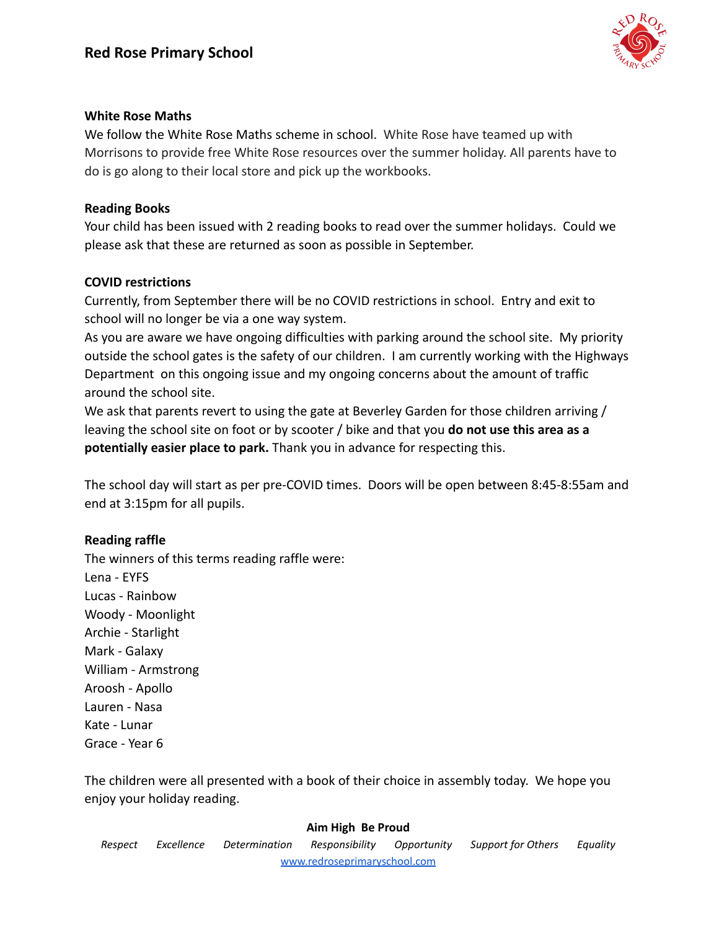

## **White Rose Maths**

We follow the White Rose Maths scheme in school. White Rose have teamed up with Morrisons to provide free White Rose resources over the summer holiday. All parents have to do is go along to their local store and pick up the workbooks.

## **Reading Books**

Your child has been issued with 2 reading books to read over the summer holidays. Could we please ask that these are returned as soon as possible in September.

# **COVID restrictions**

Currently, from September there will be no COVID restrictions in school. Entry and exit to school will no longer be via a one way system.

As you are aware we have ongoing difficulties with parking around the school site. My priority outside the school gates is the safety of our children. I am currently working with the Highways Department on this ongoing issue and my ongoing concerns about the amount of traffic around the school site.

We ask that parents revert to using the gate at Beverley Garden for those children arriving / leaving the school site on foot or by scooter / bike and that you **do not use this area as a potentially easier place to park.** Thank you in advance for respecting this.

The school day will start as per pre-COVID times. Doors will be open between 8:45-8:55am and end at 3:15pm for all pupils.

# **Reading raffle**

The winners of this terms reading raffle were: Lena - EYFS Lucas - Rainbow Woody - Moonlight Archie - Starlight Mark - Galaxy William - Armstrong Aroosh - Apollo Lauren - Nasa Kate - Lunar Grace - Year 6

The children were all presented with a book of their choice in assembly today. We hope you enjoy your holiday reading.

#### **Aim High Be Proud**

*Respect Excellence Determination Responsibility Opportunity Support for Others Equality* [www.redroseprimaryschool.com](http://www.redroseprimaryschool.com)